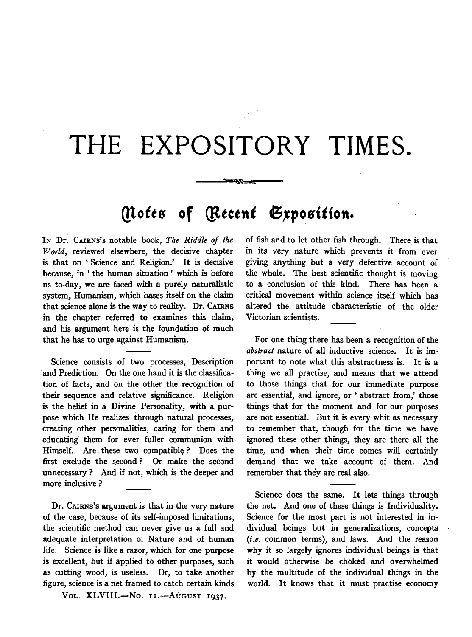# **THE EXPOSITORY TIMES.**

## *(Notes of [Recent Exposition.*

---~~

IN Dr. CAIRNS's notable book, *The Riddle of the World,* reviewed elsewhere, the decisive chapter is that on ' Science and Religion.' It is decisive because, in 'the human situation' which is before us to-day, we are faced with a purely naturalistic system, Humanism, which bases itself on the claim that science alone is the way to reality. Dr. CAIRNS in the chapter referred to examines this claim, and his argument here is the foundation of much that he has to urge against Humanism.

Science consists of two processes, Description and Prediction. On the one hand it is the classification of facts, and on the other the recognition of their sequence and relative significance. Religion is the belief in a Divine Personality, with a purpose which He realizes through natural processes, creating other personalities, caring for them and educating them for ever fuller communion with Himself. Are these two compatible? Does the first exclude the second ? Or make the second unnecessary? And if not, which is the deeper and more inclusive ?

Dr. CAIRNs's argument is that in the very nature of the case, because of its self-imposed limitations, the scientific method can never give us a full and adequate interpretation of Nature and of human life. Science is like a razor, which for one purpose is excellent, but if applied to other purposes, such as cutting wood, is useless. Or, to take another figure, science is a net framed to catch certain kinds

VOL. XLVIII.-No. 11.-AUGUST 1937.

of fish and to let other fish through. There is that in its very nature which prevents it from ever giving anything but a very defective account of the whole. The best scientific thought is moving to a conclusion of this kind. There has been a critical movement within science itself which has altered the attitude characteristic of the older Victorian scientists.

For one thing there has been a recognition of the *abstract* nature of all inductive science. It is important to note what this abstractness is. It is a thing we all practise, and means that we attend to those things that for our immediate purpose are essential, and ignore, or 'abstract from,' those things that for the moment and for our purposes are not essential. But it is every whit as necessary to remember that, though for the time we have ignored these other things, they are there all the time, and when their time comes will certainly demand that we take account of them. And remember that they are real also.

Science does the same. It lets things through the net. And one of these things is Individuality. Science for the most part is not interested in individual beings but in generalizations, concepts *(i.e.* common terms), and laws. And the reason why it so largely ignores individual beings is that it would otherwise be choked and overwhelmed by the multitude of the individual things in the world. It knows that it must practise economy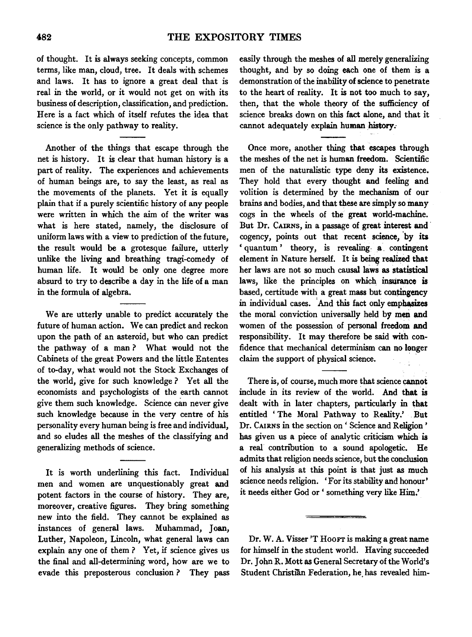of thought. It is always seeking concepts, common terms, like man, cloud, tree. It deals with schemes and laws. It has to ignore a great deal that is real in the world, or it would not get on with its business of description, classification, and prediction. Here is a fact which of itself refutes the idea that science is the only pathway to reality.

Another of the things that escape through the net is history. It is clear that human history is a part of reality. The experiences and achievements of human beings are, to say the least, as real as the movements of the planets. Yet it is equally plain that if a purely scientific history of any people were written in which the aim of the writer was what is here stated, namely, the disclosure of uniform laws with a view to prediction of the future, the result would be a grotesque failure, utterly unlike the living and breathing tragi-comedy of human life. It would be only one degree more absurd to try to describe a day in the life of a man in the formula of algebra.

We are utterly unable to predict accurately the future of human action. We can predict and reckon upon the path of an asteroid, but who can predict the pathway of a man ? What would not the Cabinets of the great Powers and the little Ententes of to-day, what would not the Stock Exchanges of the world, give for such knowledge? Yet all the economists and psychologists of the earth cannot give them such knowledge. Science can never give such knowledge because in the very centre of his personality every human being is free and individual, and so eludes all the meshes of the classifying and generalizing methods of science.

It is worth underlining this fact. Individual men and women are unquestionably great and potent factors in the course of history. They are, moreover, creative figures. They bring something new into the field. They cannot be explained as instances of general laws. Muhammad, Joan, Luther, Napoleon, Lincoln, what general laws can explain any one of them ? Yet, if science gives us the final and all-determining word, how are we to evade this preposterous conclusion ? They pass easily through the meshes of all merely generalizing thought, and by so doing each one of them is a demonstration of the inability of science to penetrate to the heart of reality. It is not too much to say, then, that the whole theory of the sufficiency of science breaks down on this fact alone, and that it cannot adequately explain human history.

Once more, another thing that escapes through the meshes of the net is human freedom. Scientific men of the naturalistic type deny its existence. They hold that every thought and feeling and volition is determined by the mechanism of our brains and bodies, and that these are simply so many cogs in the wheels of the great world-machine. But Dr. CAIRNs, in a passage of great interest and· cogency, points out that recent science, 'by its 'quantum' theory, is revealing: a. contingent element in Nature herself. It is being realized that her laws are not so much causal Jaws as statistical laws, like the principles on which instirance is based, certitude with a great mass but contingency in individual cases. And this fact only emphasizes the moral conviction universally held by men and women of the possession of personal freedom and responsibility. It may therefore be said with confidence that mechanical determinism can no lenger claim the support of physical science.

There is, of course, much more that science cannot include in its review of the world. And that is dealt with in later chapters, particularly in that entitled ' The Moral Pathway to Reality.' . But Dr. CAIRNS in the section on ' Science and Religion ' has given us a piece of analytic criticism which is a real contnbution to a sound apologetic. He admits that religion needs science, but the conclusion of his analysis at this point is that just as much science needs religion. 'For its stability and honour' it needs either God or ' something very like Him.'

Dr. W. A. Visser 'T Hoorr is making a great name for himself in the student world. Having succeeded Dr. John R. Mott as General Secretary of the World's Student Christian Federation, he. has revealed him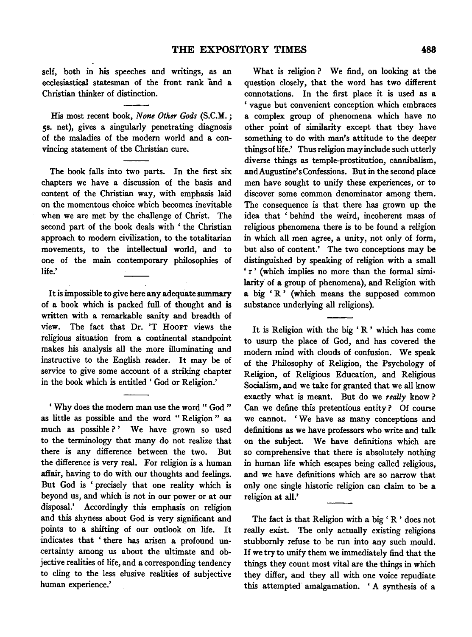self, both in his speeches and writings, as an ecclesiastical statesman of the front rank and a Christian thinker of distinction.

His most recent book, *None Other Gods* (S.C.M.; ss. net), gives a singularly penetrating diagnosis of the maladies of the modem world and a convincing statement of the Christian cure.

The book falls into two parts. In the first six chapters we have a discussion of the basis and content of the Christian way, with emphasis laid on the momentous choice which becomes inevitable when we are met by the challenge of Christ. The second part of the book deals with ' the Christian approach to modem civilization, to the totalitarian movements, to the intellectual world, and to one of the main contemporary philosophies of life.'

It is impossible to give here any adequate summary of a book which is packed full of thought and is written with a remarkable sanity and breadth of view. The fact that Dr. 'T Hoorr views the religious situation from a continental standpoint makes his analysis all the more illuminating and instructive to the English reader. It may be of service to give some account of a striking chapter in the book which is entitled ' God or Religion.'

' Why does the modem man use the word " God " as little as possible and the word " Religion " as much as possible?' We have grown so used to the terminology that many do not realize that there is any difference between the two. But the difference is very real. For religion is a human affair, having to do with our thoughts and feelings. But God is ' precisely that one reality which is beyond us, and which is not in our power or at our disposal.' Accordingly this emphasis on religion and this shyness about God is very significant and points to a shifting of our outlook on life. It indicates that ' there has arisen a profound uncertainty among us about the ultimate and objective realities of life, and a corresponding tendency to cling to the less elusive realities of subjective human experience.'

What is religion? We find, on looking at the question closely, that the word has two different connotations. In the first place it is used as a 'vague but convenient conception which embraces a complex group of phenomena which have no other point of similarity except that they have something to do with man's attitude to the deeper things of life.' Thus religion may include such utterly diverse things as temple-prostitution, cannibalism, andAugustine'sConfessions. But in the second place men have sought to unify these experiences, or to discover some common denominator among them. The consequence is that there has grown up the idea that ' behind the weird, incoherent mass of religious phenomena there is to be found a religion in which all men agree, a unity, not only of form, but also of content.' The two conceptions may be distinguished by speaking of religion with a small 'r' (which implies no more than the formal similarity of a group of phenomena), and Religion with a big 'R' (which means the supposed common substance underlying all religions).

It is Religion with the big 'R' which has come to usurp the place of God, and has covered the modem mind with clouds of confusion. We speak of the Philosophy of Religion, the Psychology of Religion, of Religious Education, and Religious Socialism, and we take for granted that we all know exactly what is meant. But do we *really* know ? Can we define this pretentious entity ? Of course we cannot. 'We have as many conceptions and definitions as we have professors who write and talk on the subject. We have definitions which are so comprehensive that there is absolutely nothing in human life which escapes being called religious, and we have definitions which are so narrow that only one single historic religion can claim to be a religion at all.'

The fact is that Religion with a big ' R ' does not really exist. The only actually existing religions stubbornly refuse to be run into any such mould. If we try to unify them we immediately find that the things they count most vital are the things in which they differ, and they all with one voice repudiate this attempted amalgamation. ' A synthesis of a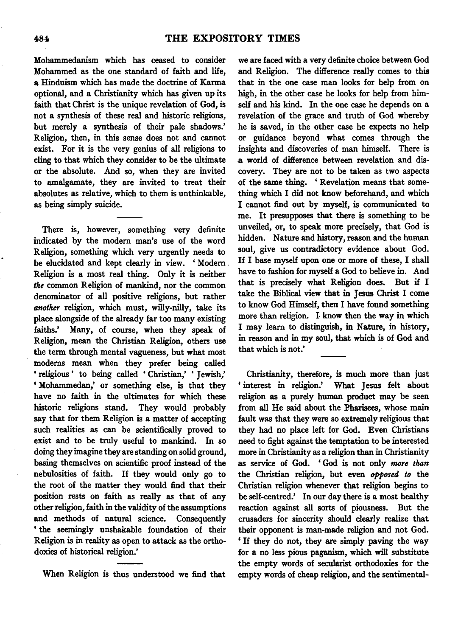Mohammedanism which has ceased to consider Mohammed as the one standard of faith and life, a Hinduism which has made the doctrine of Karma optional, and a Christianity which has given up its faith that Christ is the unique revelation of God, is not a synthesis of these real and historic religions, but merely a synthesis of their pale shadows.' Religion, then, in this sense does not and cannot exist. For it is the very genius of all religions to cling to that which they consider to be the ultimate or the absolute. And so, when they are invited to amalgamate, they are invited to treat their absolutes as relative, which to them is unthinkable, as being simply suicide.

There is, however, something very definite indicated by the modern man's use of the word Religion, something which very urgently needs to be elucidated and kept clearly in view. ' Modern . Religion is a most real thing. Only it is neither *the* common Religion of mankind, nor the common denominator of all positive religions, but rather *another* religion, which must, willy-nilly, take its place alongside of the already far too many existing faiths.' Many, of course, when they speak of Religion, mean the Christian Religion, others use the term through mental vagueness, but what most modems mean when they prefer being called ' religious ' to being called ' Christian,' ' Jewish,' ' Mohammedan,' or something else, is that they have no faith in the ultimates for which these historic religions stand. They would probably say that for them Religion is a matter of accepting such realities as can be scientifically proved to exist and to be truly useful to mankind. In so doing they imagine they are standing on solid ground, basing themselves on scientific proof instead of the nebulosities of faith. If they would only go to the root of the matter they would find that their position rests on faith as really as that of any other religion, faith in the validity of the assumptions and methods of natural science. Consequently ' the seemingly unshakable foundation of their Religion is in reality as open to attack as the orthodoxies of historical religion.'

When Religion is thus understood we find that

we are faced with a very definite choice between God and Religion. The difference really comes to this that in the one case man looks for help from on high, in the other case he looks for help from himself and his kind. In the one case he depends on a revelation of the grace and truth of God whereby he is saved, in the other case he expects no help or guidance beyond what comes through the insights and discoveries of man himself. There is a world of difference between revelation and discovery. They are not to be taken as two aspects of the same thing. ' Revelation means that something which I did not know beforehand, and which I cannot find out by myself, is communicated to me. It presupposes that there is something to be unveiled, or, to speak more precisely, that God is hidden. Nature and history, reason and the human soul, give us contradictory evidence about God. If I base myself upon one or more of these, I shall have to fashion for myself a God to believe in. And that is precisely what Religion does. But if I take the Biblical view that in Jesus Christ I come to know God Himself, then I have found something more than religion. I know then the way in which I may learn to distinguish, in Nature, in history, in reason and in my soul, that which is of God and that which is not.'

Christianity, therefore, is much more than just ' interest in religion.' What Jesus felt about religion as a purely human product may be seen from all He said about the Pharisees, whose main fault was that they were so extremely religious that they had no place left for God. Even Christians need to fight against the temptation to be interested more in Christianity as a religion than in Christianity as service of God. ' God is not only *more than*  the Christian religion, but even *opposed to* the Christian religion whenever that religion begins to be self-centred.' In our day there is a most healthy reaction against all sorts of piousness. But the crusaders for sincerity should clearly realize that their opponent is man-made religion and not God. 'If they do not, they are simply paving the way for a no less pious paganism, which will substitute the empty words of secularist orthodoxies for the empty words of cheap religion, and the sentimental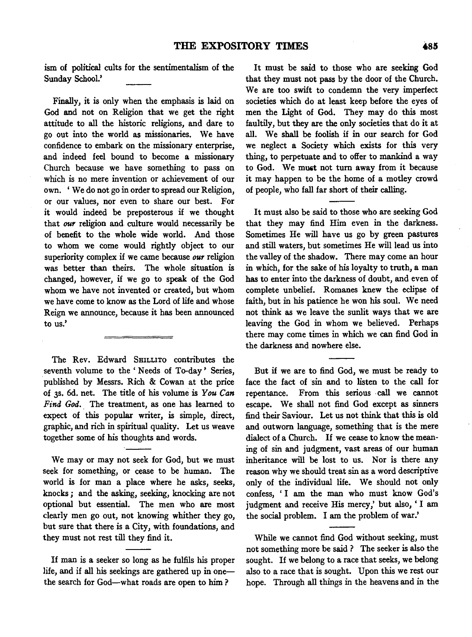ism of political cults for the sentimentalism of the Sunday School.'

Finally, it is only when the emphasis is laid on God and not on Religion that we get the right attitude to all the historic religions, and dare to go out into the world as missionaries. We have confidence to embark on the missionary enterprise, and indeed feel bound to become a missionary Church because we have something to pass on which is no mere invention or achievement of our own. ' We do not go in order to spread our Religion, or our values, nor even to share our best. For it would indeed be preposterous if we thought that *our* religion and culture would necessarily be of benefit to the whole wide world. And those to whom we come would rightly object to our superiority complex if we came because *our* religion was better than theirs. The whole situation is changed, however, if we go to speak of the God whom we have not invented or created, but whom we have come to know as the Lord of life and whose Reign we announce, because it has been announced to us.'

The Rev. Edward SHILLITO contributes the seventh volume to the 'Needs of To-day' Series, published by Messrs. Rich & Cowan at the price of 3s. 6d. net. The title of his volume is *You Can*  Find God. The treatment, as one has learned to expect of this popular writer, is simple, direct, graphic, and rich in spiritual quality. Let us weave together some of his thoughts and words.

We may or may not seek for God, but we must seek for something, or cease to be human. The world is for man a place where he asks, seeks, knocks ; and the asking, seeking, knocking are not optional but essential. The men who are most clearly men go out, not knowing whither they go, but sure that there is a City, with foundations, and they must not rest till they find it.

If man is a seeker so long as he fulfils his proper life, and if all his seekings are gathered up in onethe search for God-what roads are open to him?

It must be said to those who are seeking God that they must not pass by the door of the Church. We are too swift to condemn the very imperfect societies which do at least keep before the eyes of men the Light of God. They may do this most faultily, but they are the only societies that do it at all. We shall be foolish if in our search for God we neglect a Society which exists for this very thing, to perpetuate and to offer to mankind a way to God. We muat not turn away from it because it may happen to be the home of a motley crowd of people, who fall far short of their calling.

It must also be said to those who are seeking God that they may find Him even in the darkness. Sometimes He will have us go by green pastures and still waters, but sometimes He will lead us into the valley of the shadow. There may come an hour in which, for the sake of his loyalty to truth, a man has to enter into the darkness of doubt, and even of complete unbelief. Romanes knew the eclipse of faith, but in his patience he won his soul. We need not think as we leave the sunlit ways that we are leaving the God in whom we believed. Perhaps there may come times in which we can find God in the darkness and nowhere else.

But if we are to find God, we must be ready to face the fact of sin and to listen to the call for repentance. From this serious call we cannot escape. We shall not find God except as sinners find their Saviour. Let us not think that this is old and outworn language, something that is the mere dialect of a Church. If we cease to know the meaning of sin and judgment, vast areas of our human inheritance will be lost to us. Nor is there any reason why we should treat sin as a word descriptive only of the individual life. We should not only confess, 'I am the man who must know God's judgment and receive His mercy,' but also, 'I am the social problem. I am the problem of war.'

While we cannot find God without seeking, must not something more be said ? The seeker is also the sought. If we belong to a race that seeks, we belong also to a race that is sought. Upon this we rest our hope. Through all things in the heavens and in the